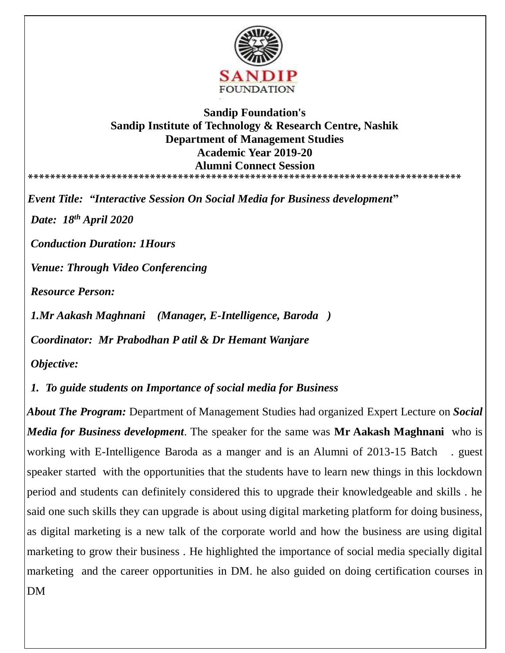

## **Sandip Foundation's Sandip Institute of Technology & Research Centre, Nashik Department of Management Studies Academic Year 2019-20 Alumni Connect Session \*\*\*\*\*\*\*\*\*\*\*\*\*\*\*\*\*\*\*\*\*\*\*\*\*\*\*\*\*\*\*\*\*\*\*\*\*\*\*\*\*\*\*\*\*\*\*\*\*\*\*\*\*\*\*\*\*\*\*\*\*\*\*\*\*\*\*\*\*\*\*\*\*\*\*\*\*\***

*Event Title: "Interactive Session On Social Media for Business development***"** *Date: 18 th April 2020 Conduction Duration: 1Hours Venue: Through Video Conferencing Resource Person: 1.Mr Aakash Maghnani (Manager, E-Intelligence, Baroda )*

*Coordinator: Mr Prabodhan P atil & Dr Hemant Wanjare* 

*Objective:*

*1. To guide students on Importance of social media for Business* 

*About The Program:* Department of Management Studies had organized Expert Lecture on *Social Media for Business development*. The speaker for the same was **Mr Aakash Maghnani** who is working with E-Intelligence Baroda as a manger and is an Alumni of 2013-15 Batch . guest speaker started with the opportunities that the students have to learn new things in this lockdown period and students can definitely considered this to upgrade their knowledgeable and skills . he said one such skills they can upgrade is about using digital marketing platform for doing business, as digital marketing is a new talk of the corporate world and how the business are using digital marketing to grow their business . He highlighted the importance of social media specially digital marketing and the career opportunities in DM. he also guided on doing certification courses in DM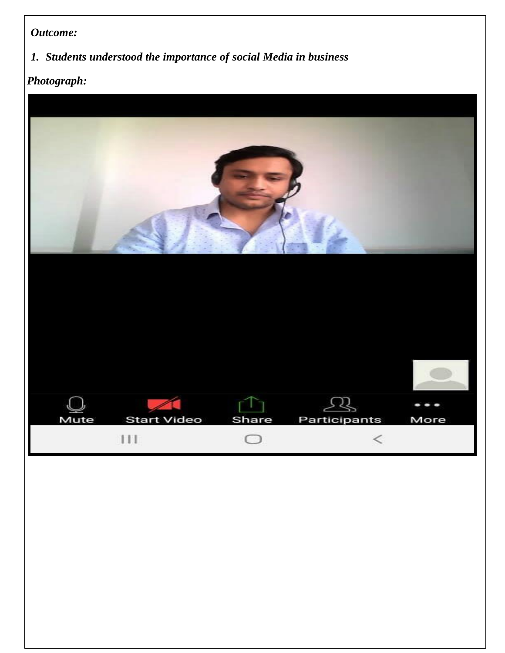## *Outcome:*

## *1. Students understood the importance of social Media in business*

## $Photograph:$